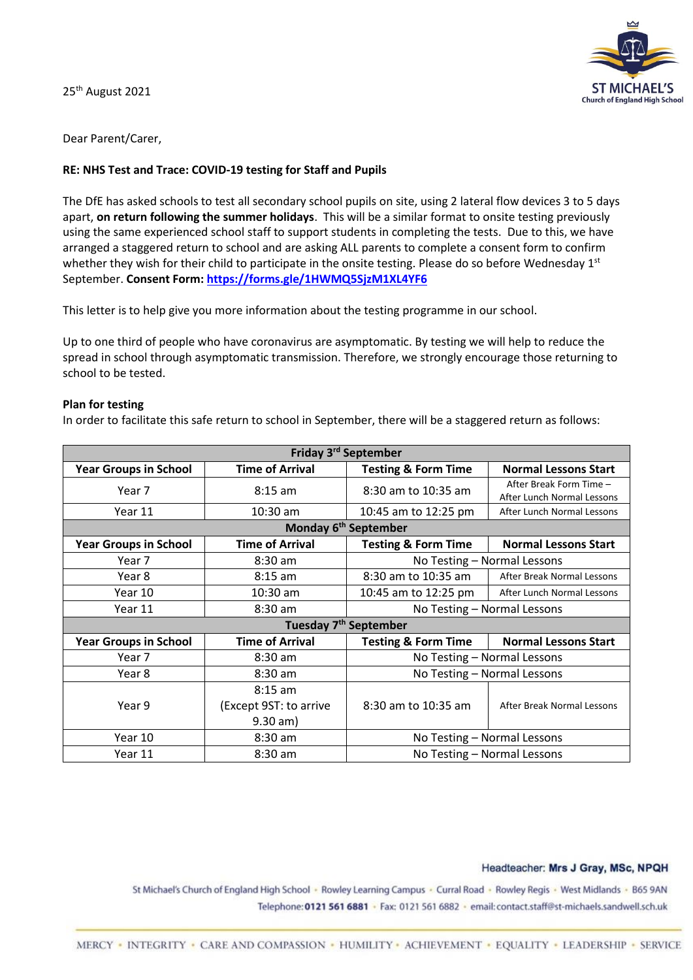25<sup>th</sup> August 2021



Dear Parent/Carer,

#### **RE: NHS Test and Trace: COVID-19 testing for Staff and Pupils**

The DfE has asked schools to test all secondary school pupils on site, using 2 lateral flow devices 3 to 5 days apart, **on return following the summer holidays**. This will be a similar format to onsite testing previously using the same experienced school staff to support students in completing the tests. Due to this, we have arranged a staggered return to school and are asking ALL parents to complete a consent form to confirm whether they wish for their child to participate in the onsite testing. Please do so before Wednesday 1st September. **Consent Form[: https://forms.gle/1HWMQ5SjzM1XL4YF6](https://forms.gle/1HWMQ5SjzM1XL4YF6)**

This letter is to help give you more information about the testing programme in our school.

Up to one third of people who have coronavirus are asymptomatic. By testing we will help to reduce the spread in school through asymptomatic transmission. Therefore, we strongly encourage those returning to school to be tested.

#### **Plan for testing**

In order to facilitate this safe return to school in September, there will be a staggered return as follows:

| Friday 3 <sup>rd</sup> September  |                        |                                |                                                       |
|-----------------------------------|------------------------|--------------------------------|-------------------------------------------------------|
| <b>Year Groups in School</b>      | <b>Time of Arrival</b> | <b>Testing &amp; Form Time</b> | <b>Normal Lessons Start</b>                           |
| Year 7                            | $8:15$ am              | 8:30 am to 10:35 am            | After Break Form Time -<br>After Lunch Normal Lessons |
| Year 11                           | $10:30$ am             | 10:45 am to 12:25 pm           | After Lunch Normal Lessons                            |
| Monday 6 <sup>th</sup> September  |                        |                                |                                                       |
| <b>Year Groups in School</b>      | <b>Time of Arrival</b> | <b>Testing &amp; Form Time</b> | <b>Normal Lessons Start</b>                           |
| Year 7                            | 8:30 am                | No Testing - Normal Lessons    |                                                       |
| Year 8                            | $8:15$ am              | 8:30 am to 10:35 am            | After Break Normal Lessons                            |
| Year 10                           | $10:30$ am             | 10:45 am to 12:25 pm           | After Lunch Normal Lessons                            |
| Year 11                           | 8:30 am                | No Testing - Normal Lessons    |                                                       |
| Tuesday 7 <sup>th</sup> September |                        |                                |                                                       |
| <b>Year Groups in School</b>      | <b>Time of Arrival</b> | <b>Testing &amp; Form Time</b> | <b>Normal Lessons Start</b>                           |
| Year 7                            | $8:30$ am              | No Testing - Normal Lessons    |                                                       |
| Year 8                            | 8:30 am                | No Testing - Normal Lessons    |                                                       |
|                                   | $8:15$ am              |                                |                                                       |
| Year 9                            | (Except 9ST: to arrive | 8:30 am to 10:35 am            | After Break Normal Lessons                            |
|                                   | $9.30$ am)             |                                |                                                       |
| Year 10                           | 8:30 am                | No Testing - Normal Lessons    |                                                       |
| Year 11                           | 8:30 am                | No Testing - Normal Lessons    |                                                       |

#### Headteacher: Mrs J Gray, MSc, NPQH

St Michael's Church of England High School - Rowley Learning Campus - Curral Road - Rowley Regis - West Midlands - B65 9AN Telephone: 0121 561 6881 · Fax: 0121 561 6882 · email: contact.staff@st-michaels.sandwell.sch.uk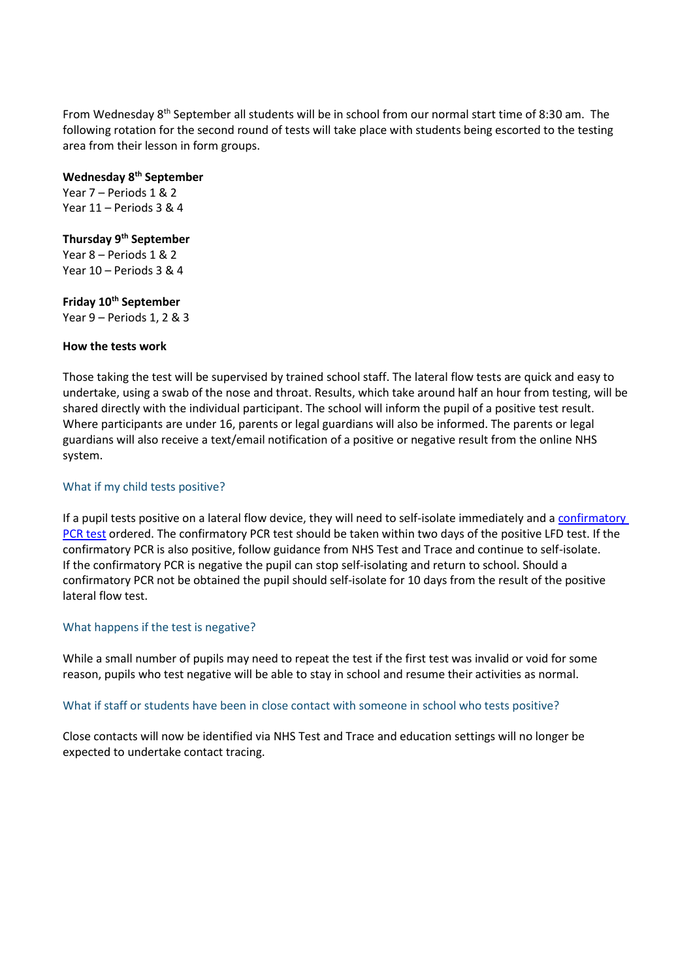From Wednesday  $8<sup>th</sup>$  September all students will be in school from our normal start time of 8:30 am. The following rotation for the second round of tests will take place with students being escorted to the testing area from their lesson in form groups.

# **Wednesday 8th September**

Year 7 – Periods 1 & 2 Year 11 – Periods 3 & 4

## **Thursday 9th September**

Year 8 – Periods 1 & 2 Year 10 – Periods 3 & 4

# **Friday 10th September**

Year 9 – Periods 1, 2 & 3

## **How the tests work**

Those taking the test will be supervised by trained school staff. The lateral flow tests are quick and easy to undertake, using a swab of the nose and throat. Results, which take around half an hour from testing, will be shared directly with the individual participant. The school will inform the pupil of a positive test result. Where participants are under 16, parents or legal guardians will also be informed. The parents or legal guardians will also receive a text/email notification of a positive or negative result from the online NHS system.

## What if my child tests positive?

If a pupil tests positive on a lateral flow device, they will need to self-isolate immediately and [a confirmatory](https://www.gov.uk/get-coronavirus-test)  [PCR test](https://www.gov.uk/get-coronavirus-test) ordered. The confirmatory PCR test should be taken within two days of the positive LFD test. If the confirmatory PCR is also positive, follow guidance from NHS Test and Trace and continue to self-isolate. If the confirmatory PCR is negative the pupil can stop self-isolating and return to school. Should a confirmatory PCR not be obtained the pupil should self-isolate for 10 days from the result of the positive lateral flow test.

#### What happens if the test is negative?

While a small number of pupils may need to repeat the test if the first test was invalid or void for some reason, pupils who test negative will be able to stay in school and resume their activities as normal.

# What if staff or students have been in close contact with someone in school who tests positive?

Close contacts will now be identified via NHS Test and Trace and education settings will no longer be expected to undertake contact tracing.